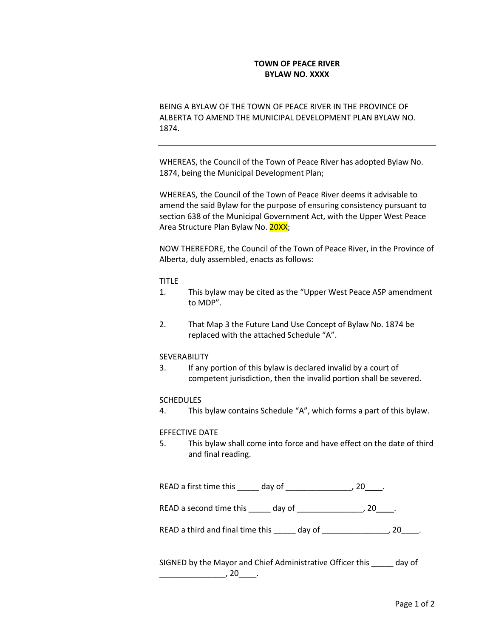# **TOWN OF PEACE RIVER BYLAW NO. XXXX**

BEING A BYLAW OF THE TOWN OF PEACE RIVER IN THE PROVINCE OF ALBERTA TO AMEND THE MUNICIPAL DEVELOPMENT PLAN BYLAW NO. 1874.

WHEREAS, the Council of the Town of Peace River has adopted Bylaw No. 1874, being the Municipal Development Plan;

WHEREAS, the Council of the Town of Peace River deems it advisable to amend the said Bylaw for the purpose of ensuring consistency pursuant to section 638 of the Municipal Government Act, with the Upper West Peace Area Structure Plan Bylaw No. 20XX;

NOW THEREFORE, the Council of the Town of Peace River, in the Province of Alberta, duly assembled, enacts as follows:

### TITLE

- 1. This bylaw may be cited as the "Upper West Peace ASP amendment to MDP".
- 2. That Map 3 the Future Land Use Concept of Bylaw No. 1874 be replaced with the attached Schedule "A".

## SEVERABILITY

3. If any portion of this bylaw is declared invalid by a court of competent jurisdiction, then the invalid portion shall be severed.

## **SCHEDULES**

4. This bylaw contains Schedule "A", which forms a part of this bylaw.

## EFFECTIVE DATE

5. This bylaw shall come into force and have effect on the date of third and final reading.

| READ a first time this | day of |  |
|------------------------|--------|--|
|------------------------|--------|--|

READ a second time this \_\_\_\_\_ day of \_\_\_\_\_\_\_\_\_\_\_\_\_\_\_, 20\_\_\_\_.

READ a third and final time this \_\_\_\_\_ day of \_\_\_\_\_\_\_\_\_\_\_\_\_\_\_, 20\_\_\_\_.

SIGNED by the Mayor and Chief Administrative Officer this \_\_\_\_\_ day of \_\_\_\_\_\_\_\_\_\_\_\_\_\_\_, 20\_\_\_\_.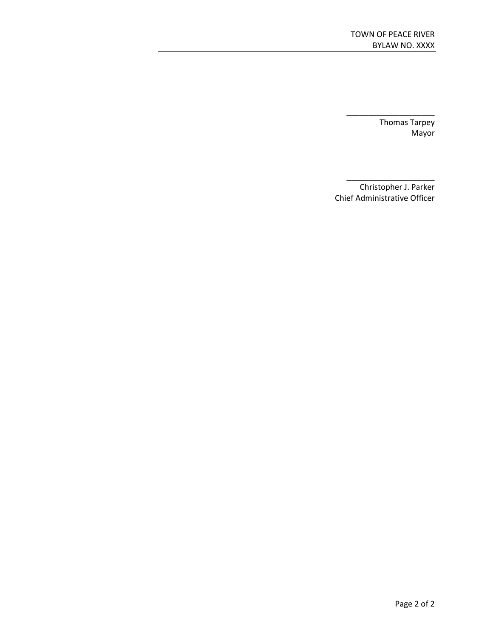\_\_\_\_\_\_\_\_\_\_\_\_\_\_\_\_\_\_\_\_ Thomas Tarpey Mayor

Christopher J. Parker Chief Administrative Officer

\_\_\_\_\_\_\_\_\_\_\_\_\_\_\_\_\_\_\_\_